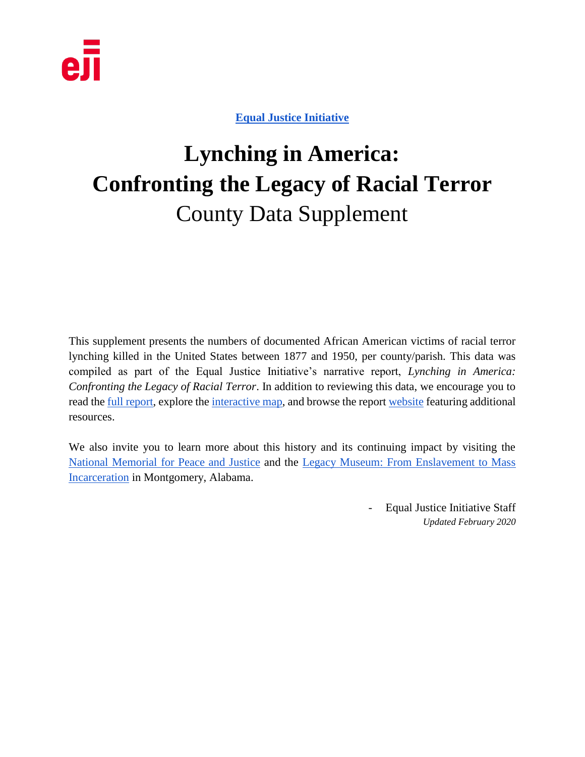

**[Equal Justice Initiative](http://www.eji.org/)**

# **Lynching in America: Confronting the Legacy of Racial Terror** County Data Supplement

This supplement presents the numbers of documented African American victims of racial terror lynching killed in the United States between 1877 and 1950, per county/parish. This data was compiled as part of the Equal Justice Initiative's narrative report, *Lynching in America: Confronting the Legacy of Racial Terror*. In addition to reviewing this data, we encourage you to read the <u>full report</u>, explore the *interactive map*, and browse the report [website](http://lynchinginamerica.eji.org/) featuring additional resources.

We also invite you to learn more about this history and its continuing impact by visiting the [National Memorial for Peace and Justice](https://museumandmemorial.eji.org/memorial) and the [Legacy Museum: From Enslavement to Mass](https://museumandmemorial.eji.org/museum)  [Incarceration](https://museumandmemorial.eji.org/museum) in Montgomery, Alabama.

> - Equal Justice Initiative Staff *Updated February 2020*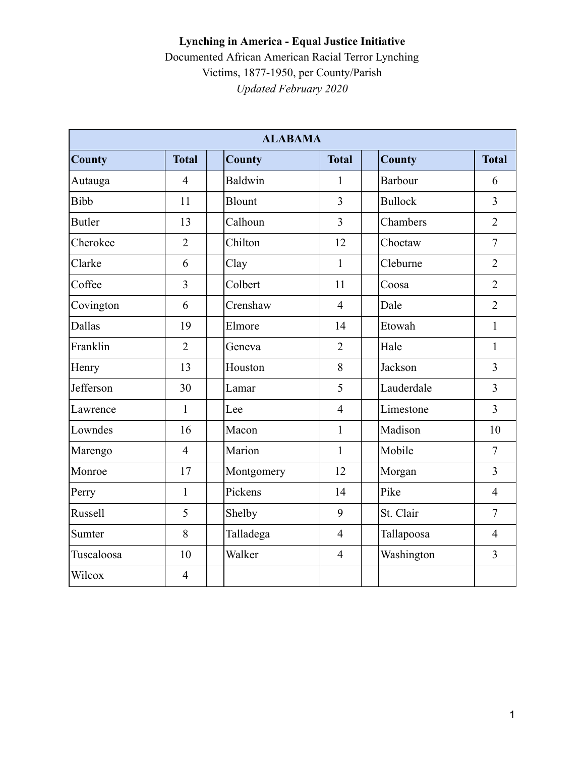| <b>ALABAMA</b> |                |               |                |                |                |  |  |  |
|----------------|----------------|---------------|----------------|----------------|----------------|--|--|--|
| <b>County</b>  | <b>Total</b>   | <b>County</b> | <b>Total</b>   | County         | <b>Total</b>   |  |  |  |
| Autauga        | $\overline{4}$ | Baldwin       | 1              | Barbour        | 6              |  |  |  |
| <b>Bibb</b>    | 11             | <b>Blount</b> | $\overline{3}$ | <b>Bullock</b> | $\overline{3}$ |  |  |  |
| <b>Butler</b>  | 13             | Calhoun       | $\overline{3}$ | Chambers       | $\overline{2}$ |  |  |  |
| Cherokee       | $\overline{2}$ | Chilton       | 12             | Choctaw        | $\overline{7}$ |  |  |  |
| Clarke         | 6              | Clay          | $\mathbf{1}$   | Cleburne       | $\overline{2}$ |  |  |  |
| Coffee         | 3              | Colbert       | 11             | Coosa          | $\overline{2}$ |  |  |  |
| Covington      | 6              | Crenshaw      | $\overline{4}$ | Dale           | $\overline{2}$ |  |  |  |
| Dallas         | 19             | Elmore        | 14             | Etowah         | $\mathbf{1}$   |  |  |  |
| Franklin       | $\overline{2}$ | Geneva        | $\overline{2}$ | Hale           | $\mathbf{1}$   |  |  |  |
| Henry          | 13             | Houston       | 8              | Jackson        | $\overline{3}$ |  |  |  |
| Jefferson      | 30             | Lamar         | 5              | Lauderdale     | $\overline{3}$ |  |  |  |
| Lawrence       | $\mathbf{1}$   | Lee           | $\overline{4}$ | Limestone      | $\overline{3}$ |  |  |  |
| Lowndes        | 16             | Macon         | $\mathbf{1}$   | Madison        | 10             |  |  |  |
| Marengo        | $\overline{4}$ | Marion        | $\mathbf{1}$   | Mobile         | $\overline{7}$ |  |  |  |
| Monroe         | 17             | Montgomery    | 12             | Morgan         | $\overline{3}$ |  |  |  |
| Perry          | $\mathbf{1}$   | Pickens       | 14             | Pike           | $\overline{4}$ |  |  |  |
| Russell        | 5              | Shelby        | 9              | St. Clair      | $\overline{7}$ |  |  |  |
| Sumter         | 8              | Talladega     | $\overline{4}$ | Tallapoosa     | $\overline{4}$ |  |  |  |
| Tuscaloosa     | 10             | Walker        | $\overline{4}$ | Washington     | $\overline{3}$ |  |  |  |
| Wilcox         | $\overline{4}$ |               |                |                |                |  |  |  |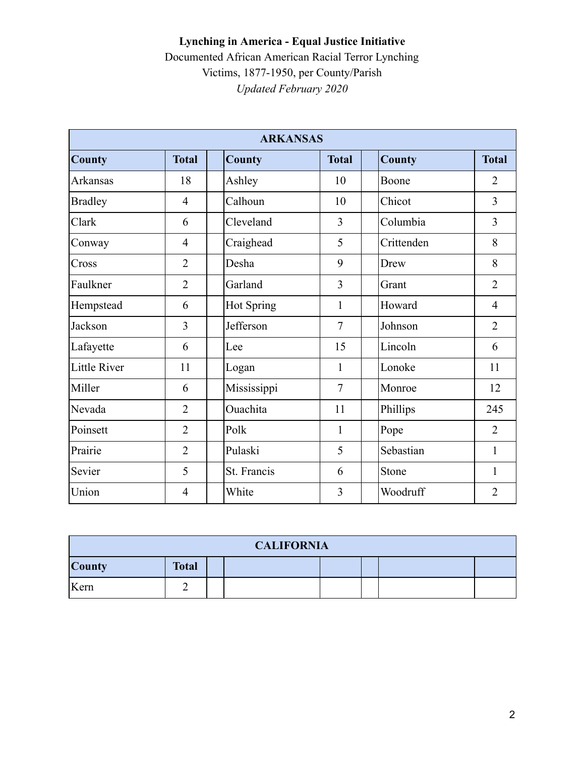#### **Lynching in America - Equal Justice Initiative**  Documented African American Racial Terror Lynching

Victims, 1877-1950, per County/Parish *Updated February 2020* 

| <b>ARKANSAS</b>     |                |               |                |               |                |  |  |
|---------------------|----------------|---------------|----------------|---------------|----------------|--|--|
| <b>County</b>       | <b>Total</b>   | <b>County</b> | <b>Total</b>   | <b>County</b> | <b>Total</b>   |  |  |
| <b>Arkansas</b>     | 18             | Ashley        | 10             | Boone         | $\overline{2}$ |  |  |
| <b>Bradley</b>      | $\overline{4}$ | Calhoun       | 10             | Chicot        | $\overline{3}$ |  |  |
| Clark               | 6              | Cleveland     | $\overline{3}$ | Columbia      | $\overline{3}$ |  |  |
| Conway              | $\overline{4}$ | Craighead     | 5              | Crittenden    | 8              |  |  |
| Cross               | $\overline{2}$ | Desha         | 9              | Drew          | 8              |  |  |
| Faulkner            | $\overline{2}$ | Garland       | $\overline{3}$ | Grant         | $\overline{2}$ |  |  |
| Hempstead           | 6              | Hot Spring    | 1              | Howard        | $\overline{4}$ |  |  |
| Jackson             | 3              | Jefferson     | $\overline{7}$ | Johnson       | $\overline{2}$ |  |  |
| Lafayette           | 6              | Lee           | 15             | Lincoln       | 6              |  |  |
| <b>Little River</b> | 11             | Logan         | $\mathbf{1}$   | Lonoke        | 11             |  |  |
| Miller              | 6              | Mississippi   | $\overline{7}$ | Monroe        | 12             |  |  |
| Nevada              | $\overline{2}$ | Ouachita      | 11             | Phillips      | 245            |  |  |
| Poinsett            | $\overline{2}$ | Polk          | $\mathbf{1}$   | Pope          | $\overline{2}$ |  |  |
| Prairie             | $\overline{2}$ | Pulaski       | 5              | Sebastian     | 1              |  |  |
| Sevier              | 5              | St. Francis   | 6              | Stone         | 1              |  |  |
| Union               | $\overline{4}$ | White         | 3              | Woodruff      | $\overline{2}$ |  |  |

| <b>CALIFORNIA</b>             |  |  |  |  |  |  |  |
|-------------------------------|--|--|--|--|--|--|--|
| <b>County</b><br><b>Total</b> |  |  |  |  |  |  |  |
| Kern                          |  |  |  |  |  |  |  |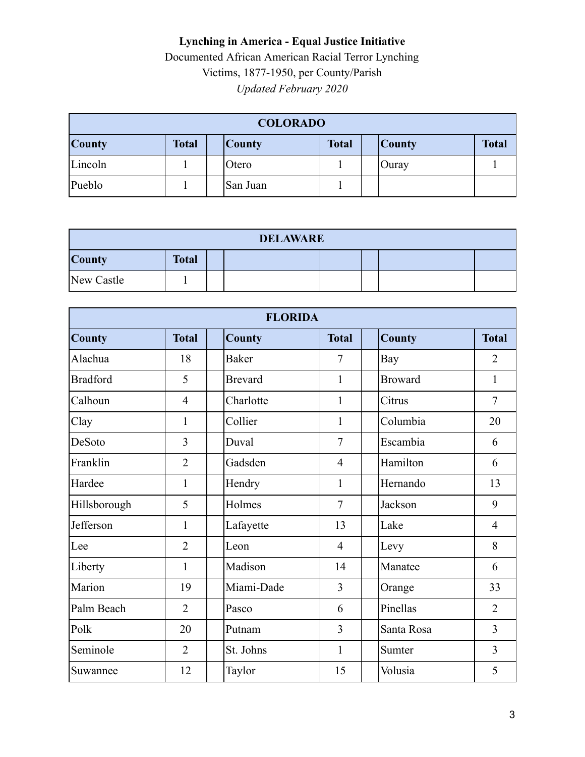| <b>COLORADO</b>    |              |  |               |              |  |               |              |
|--------------------|--------------|--|---------------|--------------|--|---------------|--------------|
| <b>County</b>      | <b>Total</b> |  | <b>County</b> | <b>Total</b> |  | <b>County</b> | <b>Total</b> |
| Lincoln            |              |  | Otero         |              |  | Ouray         |              |
| Pueblo<br>San Juan |              |  |               |              |  |               |              |

| <b>DELAWARE</b>               |  |  |  |  |  |  |  |
|-------------------------------|--|--|--|--|--|--|--|
| <b>Total</b><br><b>County</b> |  |  |  |  |  |  |  |
| New Castle                    |  |  |  |  |  |  |  |

| <b>FLORIDA</b>  |                |                |                |                |                |  |  |
|-----------------|----------------|----------------|----------------|----------------|----------------|--|--|
| <b>County</b>   | <b>Total</b>   | <b>County</b>  | <b>Total</b>   | <b>County</b>  | <b>Total</b>   |  |  |
| Alachua         | 18             | <b>Baker</b>   | $\overline{7}$ | Bay            | $\overline{2}$ |  |  |
| <b>Bradford</b> | 5              | <b>Brevard</b> | $\mathbf{1}$   | <b>Broward</b> | 1              |  |  |
| Calhoun         | $\overline{4}$ | Charlotte      | 1              | Citrus         | $\overline{7}$ |  |  |
| Clay            | 1              | Collier        | 1              | Columbia       | 20             |  |  |
| DeSoto          | 3              | Duval          | $\overline{7}$ | Escambia       | 6              |  |  |
| Franklin        | $\overline{2}$ | Gadsden        | $\overline{4}$ | Hamilton       | 6              |  |  |
| Hardee          | 1              | Hendry         | $\mathbf{1}$   | Hernando       | 13             |  |  |
| Hillsborough    | 5              | Holmes         | $\overline{7}$ | Jackson        | 9              |  |  |
| Jefferson       | 1              | Lafayette      | 13             | Lake           | $\overline{4}$ |  |  |
| Lee             | $\overline{2}$ | Leon           | $\overline{4}$ | Levy           | 8              |  |  |
| Liberty         | 1              | Madison        | 14             | Manatee        | 6              |  |  |
| Marion          | 19             | Miami-Dade     | $\overline{3}$ | Orange         | 33             |  |  |
| Palm Beach      | $\overline{2}$ | Pasco          | 6              | Pinellas       | $\overline{2}$ |  |  |
| Polk            | 20             | Putnam         | $\overline{3}$ | Santa Rosa     | $\overline{3}$ |  |  |
| Seminole        | $\overline{2}$ | St. Johns      | 1              | Sumter         | $\overline{3}$ |  |  |
| Suwannee        | 12             | Taylor         | 15             | Volusia        | 5              |  |  |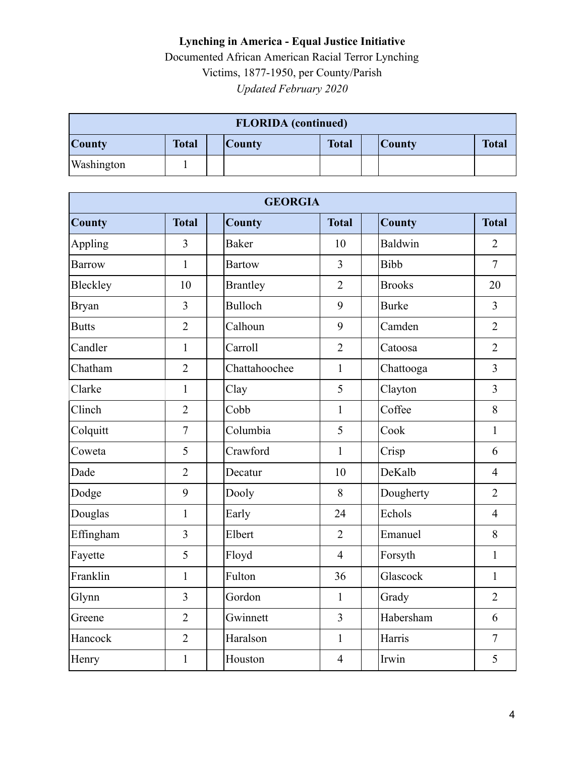| <b>FLORIDA</b> (continued)                                                      |  |  |  |  |  |  |              |
|---------------------------------------------------------------------------------|--|--|--|--|--|--|--------------|
| <b>Total</b><br><b>Total</b><br><b>County</b><br><b>County</b><br><b>County</b> |  |  |  |  |  |  | <b>Total</b> |
| Washington                                                                      |  |  |  |  |  |  |              |

| <b>GEORGIA</b> |                |                 |                |               |                |  |  |  |
|----------------|----------------|-----------------|----------------|---------------|----------------|--|--|--|
| <b>County</b>  | <b>Total</b>   | <b>County</b>   | <b>Total</b>   | <b>County</b> | <b>Total</b>   |  |  |  |
| Appling        | 3              | <b>Baker</b>    | 10             | Baldwin       | $\overline{2}$ |  |  |  |
| <b>Barrow</b>  | $\mathbf{1}$   | <b>Bartow</b>   | $\overline{3}$ | Bibb          | $\overline{7}$ |  |  |  |
| Bleckley       | 10             | <b>Brantley</b> | $\overline{2}$ | <b>Brooks</b> | 20             |  |  |  |
| <b>Bryan</b>   | $\overline{3}$ | Bulloch         | 9              | <b>Burke</b>  | $\overline{3}$ |  |  |  |
| <b>Butts</b>   | $\overline{2}$ | Calhoun         | 9              | Camden        | $\overline{2}$ |  |  |  |
| Candler        | $\mathbf{1}$   | Carroll         | $\overline{2}$ | Catoosa       | $\overline{2}$ |  |  |  |
| Chatham        | $\overline{2}$ | Chattahoochee   | $\mathbf{1}$   | Chattooga     | $\overline{3}$ |  |  |  |
| Clarke         | $\mathbf{1}$   | Clay            | 5              | Clayton       | $\overline{3}$ |  |  |  |
| Clinch         | $\overline{2}$ | Cobb            | $\mathbf{1}$   | Coffee        | 8              |  |  |  |
| Colquitt       | $\overline{7}$ | Columbia        | 5              | Cook          | $\mathbf{1}$   |  |  |  |
| Coweta         | 5              | Crawford        | $\mathbf{1}$   | Crisp         | 6              |  |  |  |
| Dade           | $\overline{2}$ | Decatur         | 10             | DeKalb        | $\overline{4}$ |  |  |  |
| Dodge          | 9              | Dooly           | 8              | Dougherty     | $\overline{2}$ |  |  |  |
| Douglas        | $\mathbf{1}$   | Early           | 24             | Echols        | $\overline{4}$ |  |  |  |
| Effingham      | $\overline{3}$ | Elbert          | $\overline{2}$ | Emanuel       | 8              |  |  |  |
| Fayette        | 5              | Floyd           | $\overline{4}$ | Forsyth       | $\mathbf{1}$   |  |  |  |
| Franklin       | $\mathbf{1}$   | Fulton          | 36             | Glascock      | $\mathbf{1}$   |  |  |  |
| Glynn          | 3              | Gordon          | $\mathbf{1}$   | Grady         | $\overline{2}$ |  |  |  |
| Greene         | $\overline{2}$ | Gwinnett        | $\overline{3}$ | Habersham     | 6              |  |  |  |
| Hancock        | $\overline{2}$ | Haralson        | $\mathbf{1}$   | Harris        | $\overline{7}$ |  |  |  |
| Henry          | $\mathbf{1}$   | Houston         | $\overline{4}$ | Irwin         | 5              |  |  |  |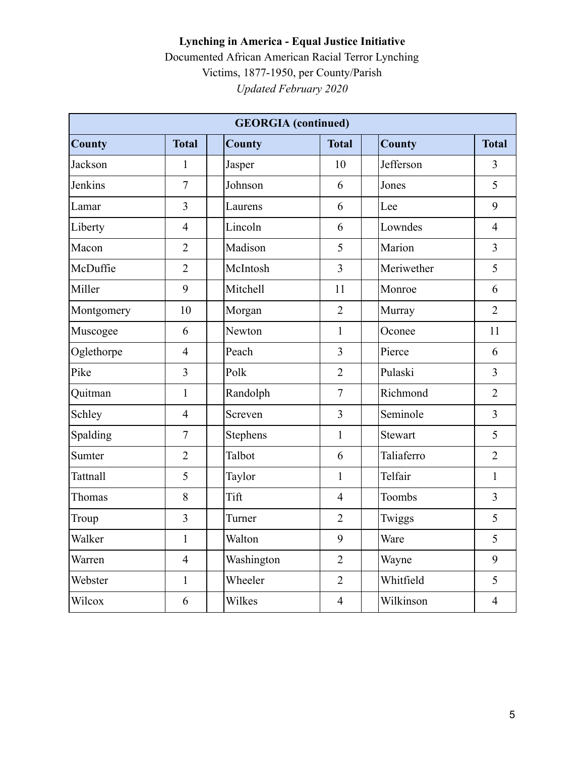| <b>GEORGIA</b> (continued) |                |               |                |                |                |  |  |  |
|----------------------------|----------------|---------------|----------------|----------------|----------------|--|--|--|
| <b>County</b>              | <b>Total</b>   | <b>County</b> | <b>Total</b>   | <b>County</b>  | <b>Total</b>   |  |  |  |
| Jackson                    | $\mathbf{1}$   | Jasper        | 10             | Jefferson      | $\overline{3}$ |  |  |  |
| Jenkins                    | $\overline{7}$ | Johnson       | 6              | Jones          | 5              |  |  |  |
| Lamar                      | 3              | Laurens       | 6              | Lee            | 9              |  |  |  |
| Liberty                    | $\overline{4}$ | Lincoln       | 6              | Lowndes        | $\overline{4}$ |  |  |  |
| Macon                      | $\overline{2}$ | Madison       | 5              | Marion         | $\overline{3}$ |  |  |  |
| McDuffie                   | $\overline{2}$ | McIntosh      | 3              | Meriwether     | 5              |  |  |  |
| Miller                     | 9              | Mitchell      | 11             | Monroe         | 6              |  |  |  |
| Montgomery                 | 10             | Morgan        | $\overline{2}$ | Murray         | $\overline{2}$ |  |  |  |
| Muscogee                   | 6              | Newton        | $\mathbf{1}$   | Oconee         | 11             |  |  |  |
| Oglethorpe                 | $\overline{4}$ | Peach         | 3              | Pierce         | 6              |  |  |  |
| Pike                       | 3              | Polk          | $\overline{2}$ | Pulaski        | $\overline{3}$ |  |  |  |
| Quitman                    | $\mathbf{1}$   | Randolph      | $\overline{7}$ | Richmond       | $\overline{2}$ |  |  |  |
| Schley                     | $\overline{4}$ | Screven       | $\overline{3}$ | Seminole       | $\overline{3}$ |  |  |  |
| Spalding                   | $\overline{7}$ | Stephens      | $\mathbf{1}$   | <b>Stewart</b> | 5              |  |  |  |
| Sumter                     | $\overline{2}$ | Talbot        | 6              | Taliaferro     | $\overline{2}$ |  |  |  |
| <b>Tattnall</b>            | 5              | Taylor        | $\mathbf{1}$   | Telfair        | $\mathbf{1}$   |  |  |  |
| Thomas                     | 8              | Tift          | $\overline{4}$ | Toombs         | $\overline{3}$ |  |  |  |
| Troup                      | 3              | Turner        | $\overline{2}$ | Twiggs         | 5              |  |  |  |
| Walker                     | $\mathbf{1}$   | Walton        | 9              | Ware           | 5              |  |  |  |
| Warren                     | $\overline{4}$ | Washington    | $\overline{2}$ | Wayne          | 9              |  |  |  |
| Webster                    | $\mathbf{1}$   | Wheeler       | $\overline{2}$ | Whitfield      | 5              |  |  |  |
| Wilcox                     | 6              | Wilkes        | $\overline{4}$ | Wilkinson      | $\overline{4}$ |  |  |  |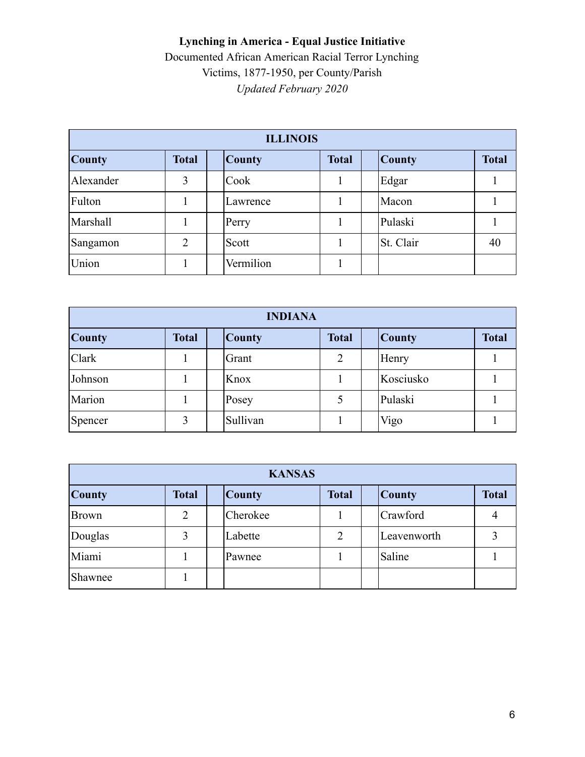| <b>ILLINOIS</b> |              |               |              |               |              |  |  |
|-----------------|--------------|---------------|--------------|---------------|--------------|--|--|
| <b>County</b>   | <b>Total</b> | <b>County</b> | <b>Total</b> | <b>County</b> | <b>Total</b> |  |  |
| Alexander       | 3            | Cook          |              | Edgar         |              |  |  |
| Fulton          |              | Lawrence      |              | Macon         |              |  |  |
| Marshall        |              | Perry         |              | Pulaski       |              |  |  |
| Sangamon        | 2            | Scott         |              | St. Clair     | 40           |  |  |
| Union           |              | Vermilion     |              |               |              |  |  |

| <b>INDIANA</b> |              |               |                |               |              |  |  |
|----------------|--------------|---------------|----------------|---------------|--------------|--|--|
| <b>County</b>  | <b>Total</b> | <b>County</b> | <b>Total</b>   | <b>County</b> | <b>Total</b> |  |  |
| Clark          |              | Grant         | $\overline{2}$ | Henry         |              |  |  |
| Johnson        |              | Knox          |                | Kosciusko     |              |  |  |
| Marion         |              | Posey         |                | Pulaski       |              |  |  |
| Spencer        | 3            | Sullivan      |                | Vigo          |              |  |  |

| <b>KANSAS</b> |                |               |              |               |              |  |  |
|---------------|----------------|---------------|--------------|---------------|--------------|--|--|
| <b>County</b> | <b>Total</b>   | <b>County</b> | <b>Total</b> | <b>County</b> | <b>Total</b> |  |  |
| <b>Brown</b>  | $\overline{2}$ | Cherokee      |              | Crawford      |              |  |  |
| Douglas       | 3              | Labette       | 2            | Leavenworth   |              |  |  |
| Miami         |                | Pawnee        |              | Saline        |              |  |  |
| Shawnee       |                |               |              |               |              |  |  |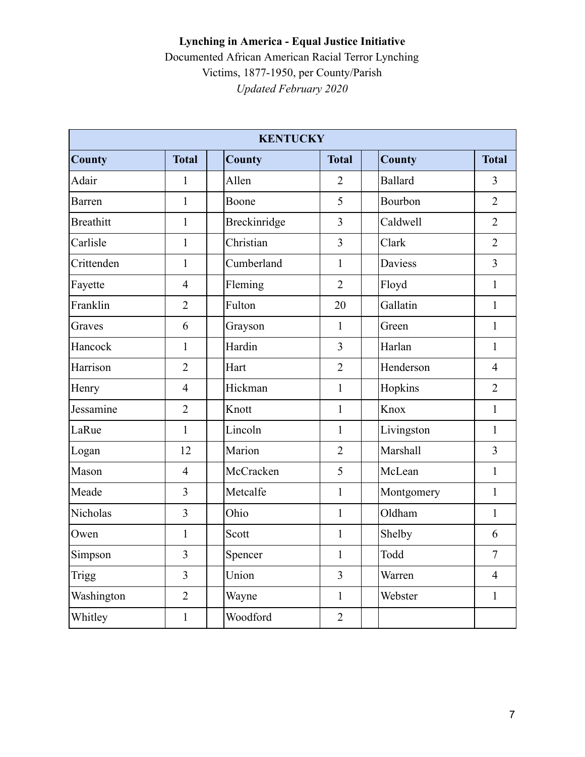|                  |                | <b>KENTUCKY</b> |                |                |                |
|------------------|----------------|-----------------|----------------|----------------|----------------|
| <b>County</b>    | <b>Total</b>   | <b>County</b>   | <b>Total</b>   | <b>County</b>  | <b>Total</b>   |
| Adair            | 1              | Allen           | $\overline{2}$ | <b>Ballard</b> | 3              |
| <b>Barren</b>    | $\mathbf{1}$   | Boone           | 5              | Bourbon        | $\overline{2}$ |
| <b>Breathitt</b> | $\mathbf{1}$   | Breckinridge    | 3              | Caldwell       | $\overline{2}$ |
| Carlisle         | $\mathbf{1}$   | Christian       | 3              | Clark          | $\overline{2}$ |
| Crittenden       | $\mathbf{1}$   | Cumberland      | $\mathbf{1}$   | Daviess        | $\overline{3}$ |
| Fayette          | $\overline{4}$ | Fleming         | $\overline{2}$ | Floyd          | $\mathbf{1}$   |
| Franklin         | $\overline{2}$ | Fulton          | 20             | Gallatin       | $\mathbf{1}$   |
| Graves           | 6              | Grayson         | $\mathbf{1}$   | Green          | $\mathbf{1}$   |
| Hancock          | $\mathbf{1}$   | Hardin          | 3              | Harlan         | $\mathbf{1}$   |
| Harrison         | $\overline{2}$ | Hart            | $\overline{2}$ | Henderson      | $\overline{4}$ |
| Henry            | $\overline{4}$ | Hickman         | 1              | Hopkins        | $\overline{2}$ |
| Jessamine        | $\overline{2}$ | Knott           | $\mathbf{1}$   | Knox           | $\mathbf{1}$   |
| LaRue            | $\mathbf{1}$   | Lincoln         | $\mathbf{1}$   | Livingston     | $\mathbf{1}$   |
| Logan            | 12             | Marion          | $\overline{2}$ | Marshall       | $\overline{3}$ |
| Mason            | $\overline{4}$ | McCracken       | 5              | McLean         | $\mathbf{1}$   |
| Meade            | 3              | Metcalfe        | $\mathbf{1}$   | Montgomery     | $\mathbf{1}$   |
| Nicholas         | $\overline{3}$ | Ohio            | $\mathbf{1}$   | Oldham         | $\mathbf{1}$   |
| Owen             | $\mathbf{1}$   | Scott           | $\mathbf{1}$   | Shelby         | 6              |
| Simpson          | 3              | Spencer         | $\mathbf{1}$   | Todd           | $\tau$         |
| Trigg            | $\overline{3}$ | Union           | $\overline{3}$ | Warren         | $\overline{4}$ |
| Washington       | $\overline{2}$ | Wayne           | $\mathbf{1}$   | Webster        | $\mathbf{1}$   |
| Whitley          | $\mathbf{1}$   | Woodford        | $\overline{2}$ |                |                |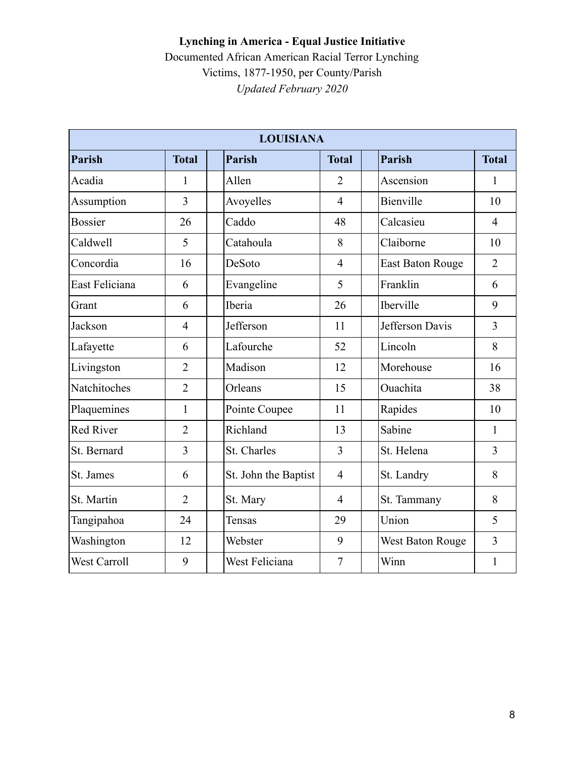#### **Lynching in America - Equal Justice Initiative**  Documented African American Racial Terror Lynching

Victims, 1877-1950, per County/Parish

*Updated February 2020* 

|                     |                | <b>LOUISIANA</b>     |                |                         |                |
|---------------------|----------------|----------------------|----------------|-------------------------|----------------|
| <b>Parish</b>       | <b>Total</b>   | <b>Parish</b>        | <b>Total</b>   | <b>Parish</b>           | <b>Total</b>   |
| Acadia              | $\mathbf{1}$   | Allen                | $\overline{2}$ | Ascension               | $\mathbf{1}$   |
| Assumption          | $\overline{3}$ | Avoyelles            | $\overline{4}$ | Bienville               | 10             |
| <b>Bossier</b>      | 26             | Caddo                | 48             | Calcasieu               | $\overline{4}$ |
| Caldwell            | 5              | Catahoula            | 8              | Claiborne               | 10             |
| Concordia           | 16             | DeSoto               | $\overline{4}$ | <b>East Baton Rouge</b> | $\overline{2}$ |
| East Feliciana      | 6              | Evangeline           | 5              | Franklin                | 6              |
| Grant               | 6              | Iberia               | 26             | Iberville               | 9              |
| Jackson             | $\overline{4}$ | Jefferson            | 11             | Jefferson Davis         | 3              |
| Lafayette           | 6              | Lafourche            | 52             | Lincoln                 | 8              |
| Livingston          | $\overline{2}$ | Madison              | 12             | Morehouse               | 16             |
| Natchitoches        | $\overline{2}$ | Orleans              | 15             | Ouachita                | 38             |
| Plaquemines         | $\mathbf{1}$   | Pointe Coupee        | 11             | Rapides                 | 10             |
| <b>Red River</b>    | $\overline{2}$ | Richland             | 13             | Sabine                  | 1              |
| St. Bernard         | $\overline{3}$ | St. Charles          | $\overline{3}$ | St. Helena              | $\overline{3}$ |
| St. James           | 6              | St. John the Baptist | $\overline{4}$ | St. Landry              | 8              |
| St. Martin          | $\overline{2}$ | St. Mary             | $\overline{4}$ | St. Tammany             | 8              |
| Tangipahoa          | 24             | Tensas               | 29             | Union                   | 5              |
| Washington          | 12             | Webster              | 9              | West Baton Rouge        | $\overline{3}$ |
| <b>West Carroll</b> | 9              | West Feliciana       | $\overline{7}$ | Winn                    | $\mathbf{1}$   |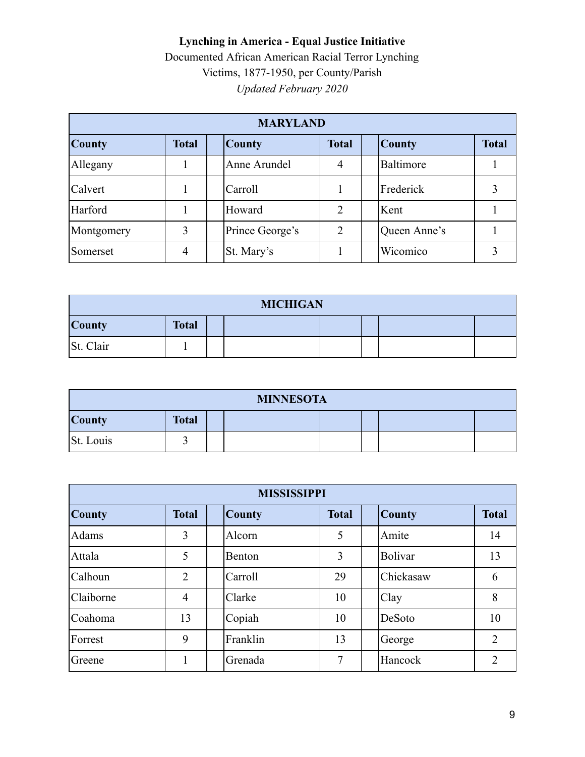| <b>MARYLAND</b> |              |                 |                |               |              |  |  |
|-----------------|--------------|-----------------|----------------|---------------|--------------|--|--|
| <b>County</b>   | <b>Total</b> | <b>County</b>   | <b>Total</b>   | <b>County</b> | <b>Total</b> |  |  |
| Allegany        |              | Anne Arundel    | 4              | Baltimore     |              |  |  |
| Calvert         |              | Carroll         |                | Frederick     |              |  |  |
| Harford         |              | Howard          | $\mathfrak{D}$ | Kent          |              |  |  |
| Montgomery      | 3            | Prince George's | $\overline{2}$ | Queen Anne's  |              |  |  |
| Somerset        | 4            | St. Mary's      |                | Wicomico      |              |  |  |

| <b>MICHIGAN</b>               |  |  |  |  |  |  |  |
|-------------------------------|--|--|--|--|--|--|--|
| <b>County</b><br><b>Total</b> |  |  |  |  |  |  |  |
| St. Clair                     |  |  |  |  |  |  |  |

| <b>MINNESOTA</b>              |  |  |  |  |  |  |  |
|-------------------------------|--|--|--|--|--|--|--|
| <b>Total</b><br><b>County</b> |  |  |  |  |  |  |  |
| St. Louis                     |  |  |  |  |  |  |  |

| <b>MISSISSIPPI</b> |                |                                                |    |                |                |  |  |  |
|--------------------|----------------|------------------------------------------------|----|----------------|----------------|--|--|--|
| <b>County</b>      | <b>Total</b>   | <b>Total</b><br><b>County</b><br><b>County</b> |    | <b>Total</b>   |                |  |  |  |
| Adams              | 3              | Alcorn                                         | 5  | Amite          | 14             |  |  |  |
| Attala             | 5              | Benton                                         | 3  | <b>Bolivar</b> | 13             |  |  |  |
| Calhoun            | $\overline{2}$ | Carroll                                        | 29 | Chickasaw      | 6              |  |  |  |
| Claiborne          | 4              | Clarke                                         | 10 | Clay           | 8              |  |  |  |
| Coahoma            | 13             | Copiah                                         | 10 | DeSoto         | 10             |  |  |  |
| Forrest            | 9              | Franklin                                       | 13 | George         | $\overline{2}$ |  |  |  |
| Greene             |                | Grenada                                        | 7  | Hancock        | $\overline{2}$ |  |  |  |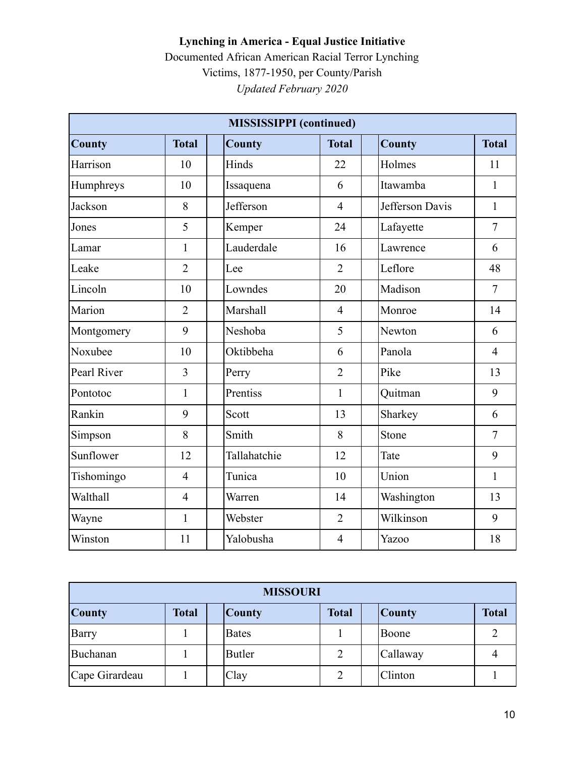|               |                | <b>MISSISSIPPI</b> (continued) |                |                 |                |
|---------------|----------------|--------------------------------|----------------|-----------------|----------------|
| <b>County</b> | <b>Total</b>   | <b>County</b>                  | <b>Total</b>   | <b>County</b>   | <b>Total</b>   |
| Harrison      | 10             | Hinds                          | 22             | Holmes          | 11             |
| Humphreys     | 10             | Issaquena                      | 6              | Itawamba        | $\mathbf{1}$   |
| Jackson       | 8              | Jefferson                      | $\overline{4}$ | Jefferson Davis | $\mathbf{1}$   |
| Jones         | 5              | Kemper                         | 24             | Lafayette       | $\overline{7}$ |
| Lamar         | $\mathbf{1}$   | Lauderdale                     | 16             | Lawrence        | 6              |
| Leake         | $\overline{2}$ | Lee                            | $\overline{2}$ | Leflore         | 48             |
| Lincoln       | 10             | Lowndes                        | 20             | Madison         | $\overline{7}$ |
| Marion        | $\overline{2}$ | Marshall                       | $\overline{4}$ | Monroe          | 14             |
| Montgomery    | 9              | Neshoba                        | 5              | Newton          | 6              |
| Noxubee       | 10             | Oktibbeha                      | 6              | Panola          | $\overline{4}$ |
| Pearl River   | 3              | Perry                          | $\overline{2}$ | Pike            | 13             |
| Pontotoc      | $\mathbf{1}$   | Prentiss                       | $\mathbf{1}$   | Quitman         | 9              |
| Rankin        | 9              | Scott                          | 13             | Sharkey         | 6              |
| Simpson       | 8              | Smith                          | 8              | Stone           | $\overline{7}$ |
| Sunflower     | 12             | Tallahatchie                   | 12             | Tate            | 9              |
| Tishomingo    | $\overline{4}$ | Tunica                         | 10             | Union           | 1              |
| Walthall      | $\overline{4}$ | Warren                         | 14             | Washington      | 13             |
| Wayne         | $\mathbf{1}$   | Webster                        | $\overline{2}$ | Wilkinson       | 9              |
| Winston       | 11             | Yalobusha                      | $\overline{4}$ | Yazoo           | 18             |

| <b>MISSOURI</b> |              |               |              |               |              |  |  |
|-----------------|--------------|---------------|--------------|---------------|--------------|--|--|
| <b>County</b>   | <b>Total</b> | <b>County</b> | <b>Total</b> | <b>County</b> | <b>Total</b> |  |  |
| Barry           |              | <b>Bates</b>  |              | Boone         |              |  |  |
| Buchanan        |              | <b>Butler</b> | 2            | Callaway      |              |  |  |
| Cape Girardeau  |              | Clay          |              | Clinton       |              |  |  |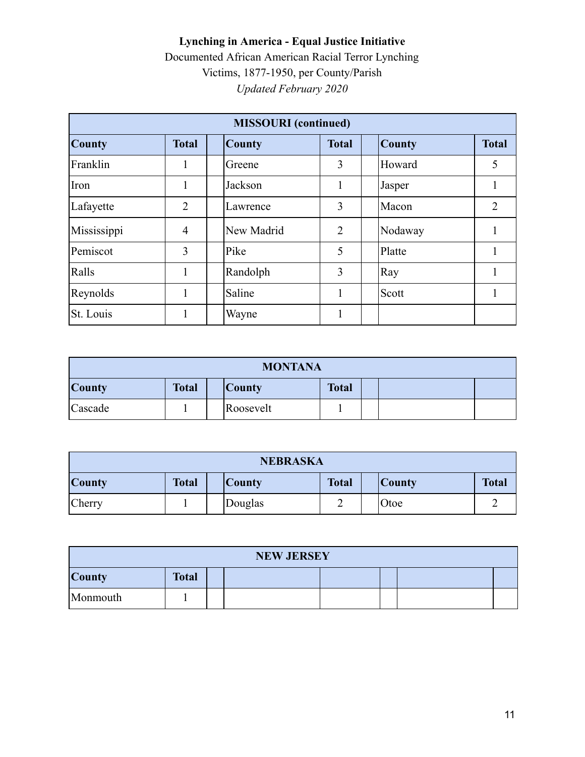| <b>MISSOURI</b> (continued) |                |               |                |               |              |  |  |
|-----------------------------|----------------|---------------|----------------|---------------|--------------|--|--|
| <b>County</b>               | <b>Total</b>   | <b>County</b> | <b>Total</b>   | <b>County</b> | <b>Total</b> |  |  |
| Franklin                    | 1              | Greene        | 3              | Howard        | 5            |  |  |
| Iron                        | 1              | Jackson       |                | Jasper        |              |  |  |
| Lafayette                   | $\overline{2}$ | Lawrence      | 3              | Macon         | 2            |  |  |
| Mississippi                 | $\overline{4}$ | New Madrid    | $\overline{2}$ | Nodaway       |              |  |  |
| Pemiscot                    | 3              | Pike          | 5              | Platte        |              |  |  |
| Ralls                       | 1              | Randolph      | 3              | Ray           |              |  |  |
| Reynolds                    |                | Saline        |                | Scott         |              |  |  |
| St. Louis                   |                | Wayne         |                |               |              |  |  |

| <b>MONTANA</b>                                                 |  |  |           |  |  |  |  |
|----------------------------------------------------------------|--|--|-----------|--|--|--|--|
| <b>County</b><br><b>Total</b><br><b>Total</b><br><b>County</b> |  |  |           |  |  |  |  |
| Cascade                                                        |  |  | Roosevelt |  |  |  |  |

| <b>NEBRASKA</b>                                                                                 |  |         |  |      |  |  |
|-------------------------------------------------------------------------------------------------|--|---------|--|------|--|--|
| <b>County</b><br><b>Total</b><br><b>Total</b><br><b>Total</b><br><b>County</b><br><b>County</b> |  |         |  |      |  |  |
| Cherry                                                                                          |  | Douglas |  | Otoe |  |  |

| <b>NEW JERSEY</b>             |  |  |  |  |  |  |  |
|-------------------------------|--|--|--|--|--|--|--|
| <b>Total</b><br><b>County</b> |  |  |  |  |  |  |  |
| Monmouth                      |  |  |  |  |  |  |  |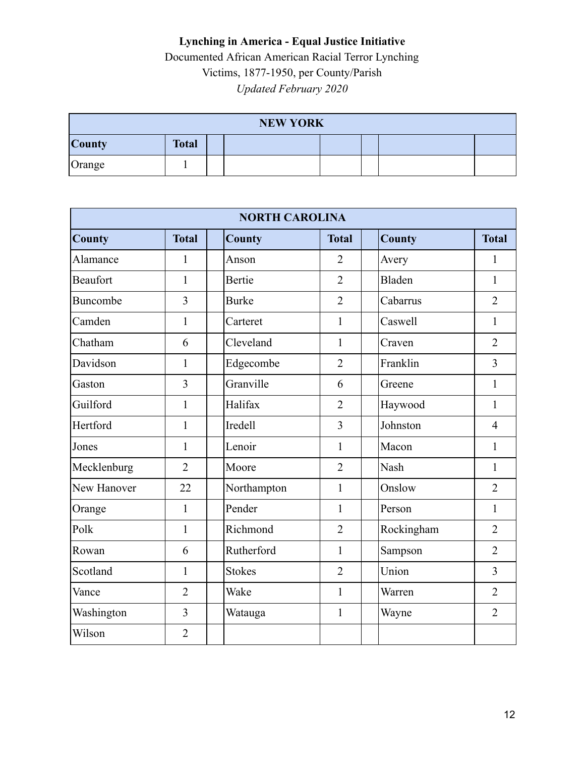| <b>NEW YORK</b> |              |  |  |  |  |  |  |
|-----------------|--------------|--|--|--|--|--|--|
| <b>County</b>   | <b>Total</b> |  |  |  |  |  |  |
| Orange          |              |  |  |  |  |  |  |

|               | <b>NORTH CAROLINA</b> |                |                |               |                |  |  |  |  |  |
|---------------|-----------------------|----------------|----------------|---------------|----------------|--|--|--|--|--|
| <b>County</b> | <b>Total</b>          | <b>County</b>  | <b>Total</b>   | <b>County</b> | <b>Total</b>   |  |  |  |  |  |
| Alamance      | 1                     | Anson          | $\overline{2}$ | Avery         | 1              |  |  |  |  |  |
| Beaufort      | 1                     | Bertie         | $\overline{2}$ | <b>Bladen</b> | $\mathbf{1}$   |  |  |  |  |  |
| Buncombe      | 3                     | <b>Burke</b>   | $\overline{2}$ | Cabarrus      | $\overline{2}$ |  |  |  |  |  |
| Camden        | 1                     | Carteret       | 1              | Caswell       | 1              |  |  |  |  |  |
| Chatham       | 6                     | Cleveland      | 1              | Craven        | $\overline{2}$ |  |  |  |  |  |
| Davidson      | 1                     | Edgecombe      | $\overline{2}$ | Franklin      | 3              |  |  |  |  |  |
| Gaston        | 3                     | Granville      | 6              | Greene        | $\mathbf{1}$   |  |  |  |  |  |
| Guilford      | 1                     | Halifax        | $\overline{2}$ | Haywood       | 1              |  |  |  |  |  |
| Hertford      | 1                     | <b>Iredell</b> | 3              | Johnston      | $\overline{4}$ |  |  |  |  |  |
| Jones         | 1                     | Lenoir         | $\mathbf{1}$   | Macon         | $\mathbf{1}$   |  |  |  |  |  |
| Mecklenburg   | $\overline{2}$        | Moore          | $\overline{2}$ | <b>Nash</b>   | $\mathbf{1}$   |  |  |  |  |  |
| New Hanover   | 22                    | Northampton    | $\mathbf{1}$   | Onslow        | $\overline{2}$ |  |  |  |  |  |
| Orange        | 1                     | Pender         | 1              | Person        | 1              |  |  |  |  |  |
| Polk          | 1                     | Richmond       | $\overline{2}$ | Rockingham    | $\overline{2}$ |  |  |  |  |  |
| Rowan         | 6                     | Rutherford     | 1              | Sampson       | $\overline{2}$ |  |  |  |  |  |
| Scotland      | $\mathbf{1}$          | <b>Stokes</b>  | $\overline{2}$ | Union         | $\overline{3}$ |  |  |  |  |  |
| Vance         | $\overline{2}$        | Wake           | $\mathbf{1}$   | Warren        | $\overline{2}$ |  |  |  |  |  |
| Washington    | $\overline{3}$        | Watauga        | 1              | Wayne         | $\overline{2}$ |  |  |  |  |  |
| Wilson        | $\overline{2}$        |                |                |               |                |  |  |  |  |  |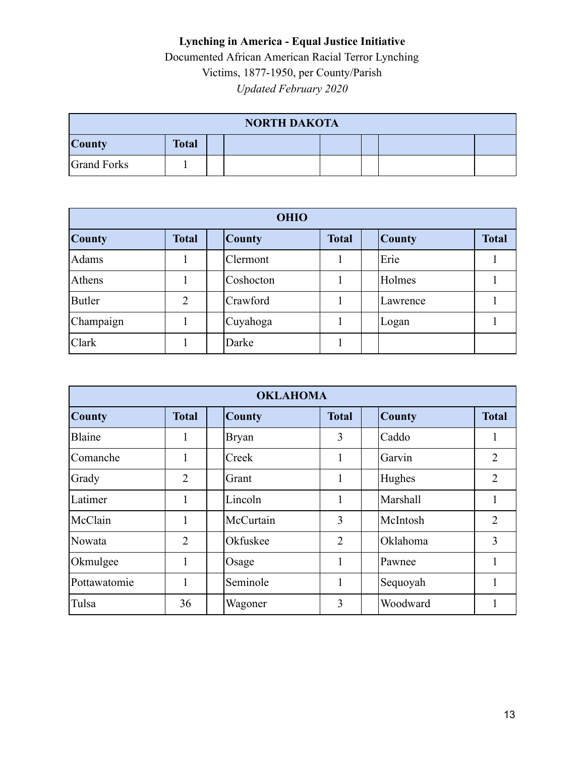| <b>NORTH DAKOTA</b> |              |  |  |  |  |  |  |
|---------------------|--------------|--|--|--|--|--|--|
| <b>County</b>       | <b>Total</b> |  |  |  |  |  |  |
| <b>Grand Forks</b>  |              |  |  |  |  |  |  |

| <b>OHIO</b>   |                |               |              |               |              |  |  |
|---------------|----------------|---------------|--------------|---------------|--------------|--|--|
| <b>County</b> | <b>Total</b>   | <b>County</b> | <b>Total</b> | <b>County</b> | <b>Total</b> |  |  |
| Adams         |                | Clermont      |              | Erie          |              |  |  |
| Athens        |                | Coshocton     |              | Holmes        |              |  |  |
| <b>Butler</b> | $\overline{2}$ | Crawford      |              | Lawrence      |              |  |  |
| Champaign     |                | Cuyahoga      |              | Logan         |              |  |  |
| Clark         |                | Darke         |              |               |              |  |  |

| <b>OKLAHOMA</b> |                |               |                |               |                |  |  |  |
|-----------------|----------------|---------------|----------------|---------------|----------------|--|--|--|
| <b>County</b>   | <b>Total</b>   | <b>County</b> | <b>Total</b>   | <b>County</b> | <b>Total</b>   |  |  |  |
| Blaine          | 1              | <b>Bryan</b>  | 3              | Caddo         |                |  |  |  |
| Comanche        | 1              | Creek         | 1              | Garvin        | $\overline{2}$ |  |  |  |
| Grady           | $\overline{2}$ | Grant         | 1              | Hughes        | $\overline{2}$ |  |  |  |
| Latimer         | 1              | Lincoln       | 1              | Marshall      | -              |  |  |  |
| McClain         | 1              | McCurtain     | 3              | McIntosh      | $\overline{2}$ |  |  |  |
| Nowata          | $\overline{2}$ | Okfuskee      | $\overline{2}$ | Oklahoma      | 3              |  |  |  |
| Okmulgee        | 1              | Osage         | 1              | Pawnee        |                |  |  |  |
| Pottawatomie    | 1              | Seminole      | 1              | Sequoyah      |                |  |  |  |
| Tulsa           | 36             | Wagoner       | 3              | Woodward      |                |  |  |  |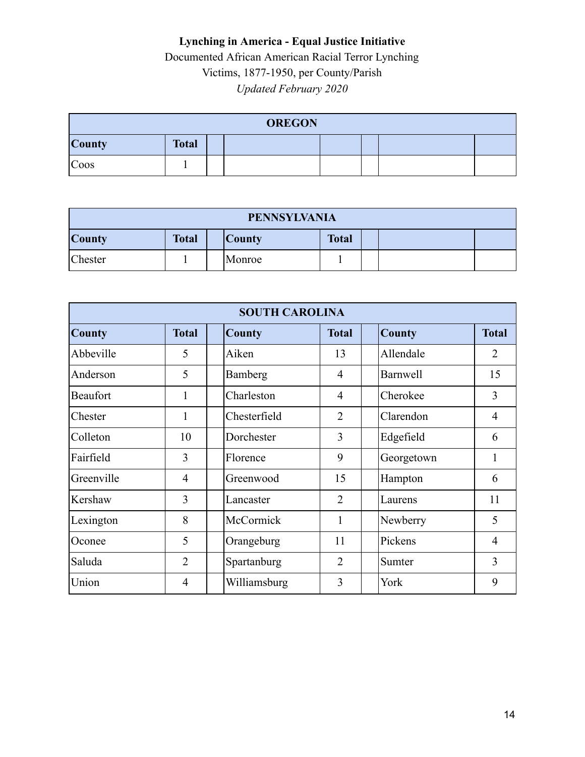| <b>OREGON</b> |              |  |  |  |  |  |  |
|---------------|--------------|--|--|--|--|--|--|
| <b>County</b> | <b>Total</b> |  |  |  |  |  |  |
| Coos          |              |  |  |  |  |  |  |

| <b>PENNSYLVANIA</b> |              |         |              |  |  |  |
|---------------------|--------------|---------|--------------|--|--|--|
| <b>County</b>       | <b>Total</b> | Country | <b>Total</b> |  |  |  |
| Chester             |              | Monroe  |              |  |  |  |

| <b>SOUTH CAROLINA</b> |                |               |                |                 |                |  |  |  |
|-----------------------|----------------|---------------|----------------|-----------------|----------------|--|--|--|
| <b>County</b>         | <b>Total</b>   | <b>County</b> | <b>Total</b>   | <b>County</b>   | <b>Total</b>   |  |  |  |
| Abbeville             | 5              | Aiken         | 13             | Allendale       | $\overline{2}$ |  |  |  |
| Anderson              | 5              | Bamberg       | 4              | <b>Barnwell</b> | 15             |  |  |  |
| Beaufort              | 1              | Charleston    | 4              | Cherokee        | 3              |  |  |  |
| Chester               | 1              | Chesterfield  | $\overline{2}$ | Clarendon       | 4              |  |  |  |
| Colleton              | 10             | Dorchester    | 3              | Edgefield       | 6              |  |  |  |
| Fairfield             | 3              | Florence      | 9              | Georgetown      | 1              |  |  |  |
| Greenville            | 4              | Greenwood     | 15             | Hampton         | 6              |  |  |  |
| Kershaw               | 3              | Lancaster     | $\overline{2}$ | Laurens         | 11             |  |  |  |
| Lexington             | 8              | McCormick     | 1              | Newberry        | 5              |  |  |  |
| Oconee                | 5              | Orangeburg    | 11             | Pickens         | $\overline{4}$ |  |  |  |
| Saluda                | $\overline{2}$ | Spartanburg   | $\overline{2}$ | Sumter          | 3              |  |  |  |
| Union                 | 4              | Williamsburg  | 3              | York            | 9              |  |  |  |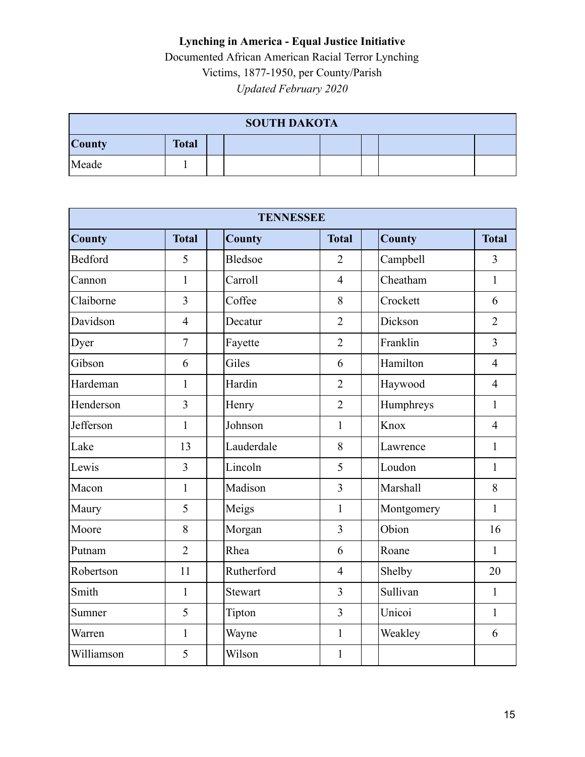| <b>SOUTH DAKOTA</b> |              |  |  |  |  |  |  |
|---------------------|--------------|--|--|--|--|--|--|
| <b>County</b>       | <b>Total</b> |  |  |  |  |  |  |
| Meade               |              |  |  |  |  |  |  |

|               | <b>TENNESSEE</b> |                |                |               |                |  |  |  |  |  |
|---------------|------------------|----------------|----------------|---------------|----------------|--|--|--|--|--|
| <b>County</b> | <b>Total</b>     | <b>County</b>  | <b>Total</b>   | <b>County</b> | <b>Total</b>   |  |  |  |  |  |
| Bedford       | 5                | Bledsoe        | $\overline{2}$ | Campbell      | 3              |  |  |  |  |  |
| Cannon        | 1                | Carroll        | $\overline{4}$ | Cheatham      | $\mathbf{1}$   |  |  |  |  |  |
| Claiborne     | $\overline{3}$   | Coffee         | 8              | Crockett      | 6              |  |  |  |  |  |
| Davidson      | $\overline{4}$   | Decatur        | $\overline{2}$ | Dickson       | $\overline{2}$ |  |  |  |  |  |
| Dyer          | $\overline{7}$   | Fayette        | $\overline{2}$ | Franklin      | $\overline{3}$ |  |  |  |  |  |
| Gibson        | 6                | Giles          | 6              | Hamilton      | $\overline{4}$ |  |  |  |  |  |
| Hardeman      | $\mathbf{1}$     | Hardin         | $\overline{2}$ | Haywood       | $\overline{4}$ |  |  |  |  |  |
| Henderson     | $\overline{3}$   | Henry          | $\overline{2}$ | Humphreys     | $\mathbf{1}$   |  |  |  |  |  |
| Jefferson     | $\mathbf{1}$     | Johnson        | 1              | Knox          | $\overline{4}$ |  |  |  |  |  |
| Lake          | 13               | Lauderdale     | 8              | Lawrence      | $\mathbf{1}$   |  |  |  |  |  |
| Lewis         | $\overline{3}$   | Lincoln        | 5              | Loudon        | $\mathbf{1}$   |  |  |  |  |  |
| Macon         | $\mathbf{1}$     | Madison        | $\overline{3}$ | Marshall      | 8              |  |  |  |  |  |
| Maury         | 5                | Meigs          | $\mathbf{1}$   | Montgomery    | $\mathbf{1}$   |  |  |  |  |  |
| Moore         | 8                | Morgan         | $\overline{3}$ | Obion         | 16             |  |  |  |  |  |
| Putnam        | $\overline{2}$   | Rhea           | 6              | Roane         | $\mathbf{1}$   |  |  |  |  |  |
| Robertson     | 11               | Rutherford     | $\overline{4}$ | Shelby        | 20             |  |  |  |  |  |
| Smith         | $\mathbf{1}$     | <b>Stewart</b> | $\overline{3}$ | Sullivan      | $\mathbf{1}$   |  |  |  |  |  |
| Sumner        | 5                | Tipton         | $\overline{3}$ | Unicoi        | $\mathbf{1}$   |  |  |  |  |  |
| Warren        | $\mathbf{1}$     | Wayne          | $\mathbf{1}$   | Weakley       | 6              |  |  |  |  |  |
| Williamson    | 5                | Wilson         | $\mathbf{1}$   |               |                |  |  |  |  |  |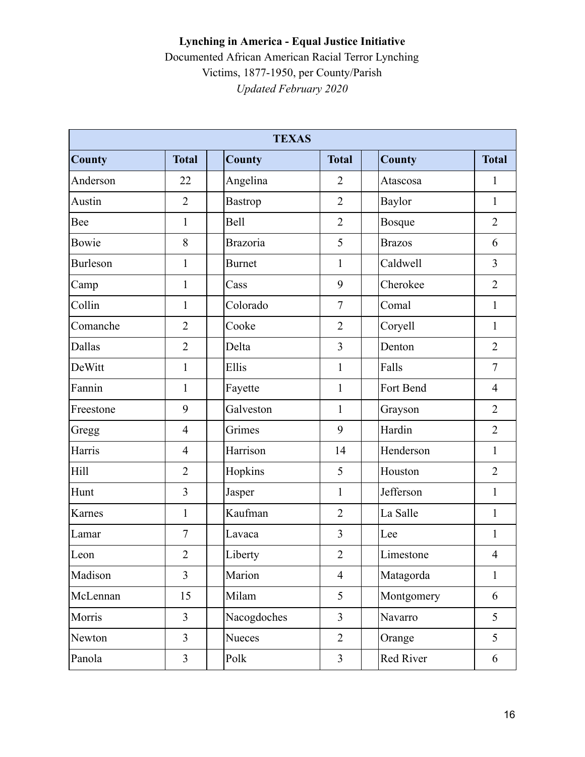|                 | <b>TEXAS</b>   |                 |                |               |                |  |  |  |  |
|-----------------|----------------|-----------------|----------------|---------------|----------------|--|--|--|--|
| <b>County</b>   | <b>Total</b>   | <b>County</b>   | <b>Total</b>   | <b>County</b> | <b>Total</b>   |  |  |  |  |
| Anderson        | 22             | Angelina        | $\overline{2}$ | Atascosa      | 1              |  |  |  |  |
| Austin          | $\overline{2}$ | Bastrop         | $\overline{2}$ | Baylor        | $\mathbf{1}$   |  |  |  |  |
| Bee             | $\mathbf{1}$   | <b>Bell</b>     | $\overline{2}$ | Bosque        | $\overline{2}$ |  |  |  |  |
| Bowie           | 8              | <b>Brazoria</b> | 5              | <b>Brazos</b> | 6              |  |  |  |  |
| <b>Burleson</b> | $\mathbf{1}$   | <b>Burnet</b>   | $\mathbf{1}$   | Caldwell      | $\overline{3}$ |  |  |  |  |
| Camp            | $\mathbf{1}$   | Cass            | 9              | Cherokee      | $\overline{2}$ |  |  |  |  |
| Collin          | $\mathbf{1}$   | Colorado        | $\overline{7}$ | Comal         | $\mathbf{1}$   |  |  |  |  |
| Comanche        | $\overline{2}$ | Cooke           | $\overline{2}$ | Coryell       | $\mathbf{1}$   |  |  |  |  |
| Dallas          | $\overline{2}$ | Delta           | $\overline{3}$ | Denton        | $\overline{2}$ |  |  |  |  |
| DeWitt          | $\mathbf{1}$   | Ellis           | $\mathbf{1}$   | Falls         | $\overline{7}$ |  |  |  |  |
| Fannin          | $\mathbf{1}$   | Fayette         | $\mathbf{1}$   | Fort Bend     | $\overline{4}$ |  |  |  |  |
| Freestone       | 9              | Galveston       | $\mathbf{1}$   | Grayson       | $\overline{2}$ |  |  |  |  |
| Gregg           | $\overline{4}$ | Grimes          | 9              | Hardin        | $\overline{2}$ |  |  |  |  |
| Harris          | $\overline{4}$ | Harrison        | 14             | Henderson     | $\mathbf{1}$   |  |  |  |  |
| Hill            | $\overline{2}$ | Hopkins         | 5              | Houston       | $\overline{2}$ |  |  |  |  |
| Hunt            | 3              | Jasper          | $\mathbf{1}$   | Jefferson     | $\mathbf{1}$   |  |  |  |  |
| Karnes          | $\mathbf{1}$   | Kaufman         | $\overline{2}$ | La Salle      | $\mathbf{1}$   |  |  |  |  |
| Lamar           | $\overline{7}$ | Lavaca          | 3              | Lee           | $\mathbf{1}$   |  |  |  |  |
| Leon            | $\overline{2}$ | Liberty         | $\overline{2}$ | Limestone     | $\overline{4}$ |  |  |  |  |
| Madison         | $\overline{3}$ | Marion          | $\overline{4}$ | Matagorda     | $\mathbf{1}$   |  |  |  |  |
| McLennan        | 15             | Milam           | 5              | Montgomery    | 6              |  |  |  |  |
| Morris          | $\overline{3}$ | Nacogdoches     | $\overline{3}$ | Navarro       | 5              |  |  |  |  |
| Newton          | $\overline{3}$ | Nueces          | $\overline{2}$ | Orange        | 5              |  |  |  |  |
| Panola          | $\mathfrak{Z}$ | Polk            | $\mathfrak{Z}$ | Red River     | 6              |  |  |  |  |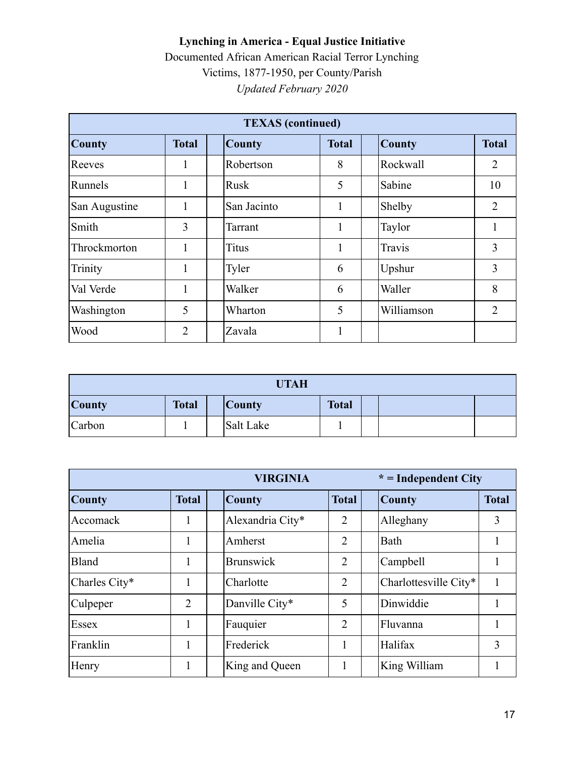| <b>TEXAS</b> (continued) |                |               |              |               |                |  |  |  |
|--------------------------|----------------|---------------|--------------|---------------|----------------|--|--|--|
| <b>County</b>            | <b>Total</b>   | <b>County</b> | <b>Total</b> | <b>County</b> | <b>Total</b>   |  |  |  |
| Reeves                   | 1              | Robertson     | 8            | Rockwall      | 2              |  |  |  |
| Runnels                  | 1              | Rusk          | 5            | Sabine        | 10             |  |  |  |
| San Augustine            | 1              | San Jacinto   | 1            | Shelby        | $\overline{2}$ |  |  |  |
| Smith                    | 3              | Tarrant       | 1            | Taylor        |                |  |  |  |
| Throckmorton             | 1              | <b>Titus</b>  | 1            | Travis        | 3              |  |  |  |
| Trinity                  | 1              | Tyler         | 6            | Upshur        | 3              |  |  |  |
| Val Verde                | 1              | Walker        | 6            | Waller        | 8              |  |  |  |
| Washington               | 5              | Wharton       | 5            | Williamson    | $\overline{2}$ |  |  |  |
| Wood                     | $\overline{2}$ | Zavala        | 1            |               |                |  |  |  |

| <b>UTAH</b>   |              |  |               |              |  |  |  |
|---------------|--------------|--|---------------|--------------|--|--|--|
| <b>County</b> | <b>Total</b> |  | <b>County</b> | <b>Total</b> |  |  |  |
| Carbon        |              |  | Salt Lake     |              |  |  |  |

|               |              | <b>VIRGINIA</b>  |                |  | $* = Independent City$ |              |
|---------------|--------------|------------------|----------------|--|------------------------|--------------|
| <b>County</b> | <b>Total</b> |                  | <b>Total</b>   |  | <b>County</b>          | <b>Total</b> |
| Accomack      |              | Alexandria City* | 2              |  | Alleghany              | 3            |
| Amelia        | 1            | Amherst          | $\overline{2}$ |  | Bath                   |              |
| Bland         | 1            | <b>Brunswick</b> | $\overline{2}$ |  | Campbell               |              |
| Charles City* | 1            | Charlotte        | 2              |  | Charlottesville City*  |              |
| Culpeper      | 2            | Danville City*   | 5              |  | Dinwiddie              |              |
| Essex         | 1            | Fauquier         | 2              |  | Fluvanna               |              |
| Franklin      | 1            | Frederick        |                |  | Halifax                | 3            |
| Henry         | 1            | King and Queen   |                |  | King William           |              |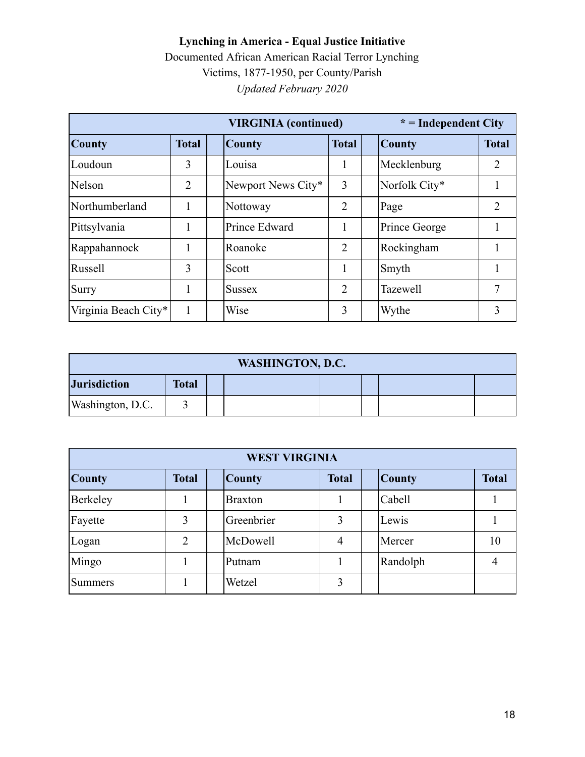|                      |                | <b>VIRGINIA</b> (continued) |                |  | $* = Independent City$ |              |
|----------------------|----------------|-----------------------------|----------------|--|------------------------|--------------|
| <b>County</b>        | <b>Total</b>   | <b>County</b>               | <b>Total</b>   |  | <b>County</b>          | <b>Total</b> |
| Loudoun              | 3              | Louisa                      |                |  | Mecklenburg            | 2            |
| Nelson               | $\overline{2}$ | Newport News City*          | 3              |  | Norfolk City*          |              |
| Northumberland       |                | Nottoway                    | 2              |  | Page                   | 2            |
| Pittsylvania         |                | Prince Edward               |                |  | Prince George          |              |
| Rappahannock         |                | Roanoke                     | $\overline{2}$ |  | Rockingham             |              |
| Russell              | 3              | Scott                       |                |  | Smyth                  |              |
| Surry                |                | <b>Sussex</b>               | 2              |  | <b>Tazewell</b>        | 7            |
| Virginia Beach City* | 1              | Wise                        | 3              |  | Wythe                  | 3            |

| <b>WASHINGTON, D.C.</b> |              |  |  |  |  |  |  |
|-------------------------|--------------|--|--|--|--|--|--|
| <b>Jurisdiction</b>     | <b>Total</b> |  |  |  |  |  |  |
| Washington, D.C.        |              |  |  |  |  |  |  |

| <b>WEST VIRGINIA</b> |                |                |              |               |              |  |  |  |
|----------------------|----------------|----------------|--------------|---------------|--------------|--|--|--|
| <b>County</b>        | <b>Total</b>   | <b>County</b>  | <b>Total</b> | <b>County</b> | <b>Total</b> |  |  |  |
| Berkeley             |                | <b>Braxton</b> |              | Cabell        |              |  |  |  |
| Fayette              | 3              | Greenbrier     | 3            | Lewis         |              |  |  |  |
| Logan                | $\overline{2}$ | McDowell       | 4            | Mercer        | 10           |  |  |  |
| Mingo                |                | Putnam         |              | Randolph      |              |  |  |  |
| Summers              |                | Wetzel         | 3            |               |              |  |  |  |